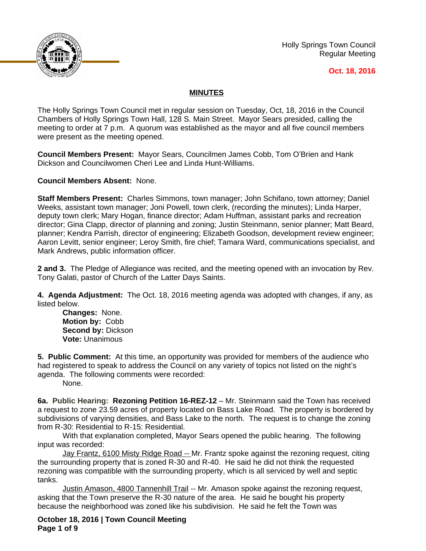

Holly Springs Town Council Regular Meeting

#### **Oct. 18, 2016**

## **MINUTES**

The Holly Springs Town Council met in regular session on Tuesday, Oct, 18, 2016 in the Council Chambers of Holly Springs Town Hall, 128 S. Main Street. Mayor Sears presided, calling the meeting to order at 7 p.m. A quorum was established as the mayor and all five council members were present as the meeting opened.

**Council Members Present:** Mayor Sears, Councilmen James Cobb, Tom O'Brien and Hank Dickson and Councilwomen Cheri Lee and Linda Hunt-Williams.

**Council Members Absent:** None.

**Staff Members Present:** Charles Simmons, town manager; John Schifano, town attorney; Daniel Weeks, assistant town manager; Joni Powell, town clerk, (recording the minutes); Linda Harper, deputy town clerk; Mary Hogan, finance director; Adam Huffman, assistant parks and recreation director; Gina Clapp, director of planning and zoning; Justin Steinmann, senior planner; Matt Beard, planner; Kendra Parrish, director of engineering; Elizabeth Goodson, development review engineer; Aaron Levitt, senior engineer; Leroy Smith, fire chief; Tamara Ward, communications specialist, and Mark Andrews, public information officer.

**2 and 3.** The Pledge of Allegiance was recited, and the meeting opened with an invocation by Rev. Tony Galati, pastor of Church of the Latter Days Saints.

**4. Agenda Adjustment:** The Oct. 18, 2016 meeting agenda was adopted with changes, if any, as listed below.

**Changes:** None. **Motion by:** Cobb **Second by:** Dickson **Vote:** Unanimous

**5. Public Comment:** At this time, an opportunity was provided for members of the audience who had registered to speak to address the Council on any variety of topics not listed on the night's agenda. The following comments were recorded:

None.

**6a. Public Hearing: Rezoning Petition 16-REZ-12** – Mr. Steinmann said the Town has received a request to zone 23.59 acres of property located on Bass Lake Road. The property is bordered by subdivisions of varying densities, and Bass Lake to the north. The request is to change the zoning from R-30: Residential to R-15: Residential.

With that explanation completed, Mayor Sears opened the public hearing. The following input was recorded:

Jay Frantz, 6100 Misty Ridge Road -- Mr. Frantz spoke against the rezoning request, citing the surrounding property that is zoned R-30 and R-40. He said he did not think the requested rezoning was compatible with the surrounding property, which is all serviced by well and septic tanks.

Justin Amason, 4800 Tannenhill Trail -- Mr. Amason spoke against the rezoning request, asking that the Town preserve the R-30 nature of the area. He said he bought his property because the neighborhood was zoned like his subdivision. He said he felt the Town was

**October 18, 2016 | Town Council Meeting Page 1 of 9**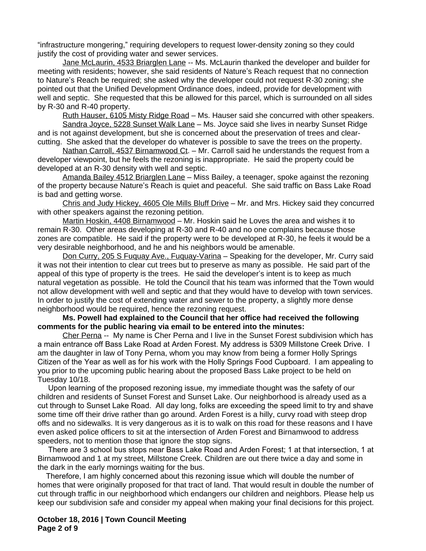"infrastructure mongering," requiring developers to request lower-density zoning so they could justify the cost of providing water and sewer services.

Jane McLaurin, 4533 Briarglen Lane -- Ms. McLaurin thanked the developer and builder for meeting with residents; however, she said residents of Nature's Reach request that no connection to Nature's Reach be required; she asked why the developer could not request R-30 zoning; she pointed out that the Unified Development Ordinance does, indeed, provide for development with well and septic. She requested that this be allowed for this parcel, which is surrounded on all sides by R-30 and R-40 property.

Ruth Hauser, 6105 Misty Ridge Road – Ms. Hauser said she concurred with other speakers.

Sandra Joyce, 5228 Sunset Walk Lane – Ms. Joyce said she lives in nearby Sunset Ridge and is not against development, but she is concerned about the preservation of trees and clearcutting. She asked that the developer do whatever is possible to save the trees on the property.

Nathan Carroll, 4537 Birnamwood Ct. - Mr. Carroll said he understands the request from a developer viewpoint, but he feels the rezoning is inappropriate. He said the property could be developed at an R-30 density with well and septic.

Amanda Bailey 4512 Briarglen Lane – Miss Bailey, a teenager, spoke against the rezoning of the property because Nature's Reach is quiet and peaceful. She said traffic on Bass Lake Road is bad and getting worse.

Chris and Judy Hickey, 4605 Ole Mills Bluff Drive – Mr. and Mrs. Hickey said they concurred with other speakers against the rezoning petition.

Martin Hoskin, 4408 Birnamwood – Mr. Hoskin said he Loves the area and wishes it to remain R-30. Other areas developing at R-30 and R-40 and no one complains because those zones are compatible. He said if the property were to be developed at R-30, he feels it would be a very desirable neighborhood, and he and his neighbors would be amenable.

Don Curry, 205 S Fuguay Ave., Fuguay-Varina - Speaking for the developer, Mr. Curry said it was not their intention to clear cut trees but to preserve as many as possible. He said part of the appeal of this type of property is the trees. He said the developer's intent is to keep as much natural vegetation as possible. He told the Council that his team was informed that the Town would not allow development with well and septic and that they would have to develop with town services. In order to justify the cost of extending water and sewer to the property, a slightly more dense neighborhood would be required, hence the rezoning request.

#### **Ms. Powell had explained to the Council that her office had received the following comments for the public hearing via email to be entered into the minutes:**

Cher Perna -- My name is Cher Perna and I live in the Sunset Forest subdivision which has a main entrance off Bass Lake Road at Arden Forest. My address is 5309 Millstone Creek Drive. I am the daughter in law of Tony Perna, whom you may know from being a former Holly Springs Citizen of the Year as well as for his work with the Holly Springs Food Cupboard. I am appealing to you prior to the upcoming public hearing about the proposed Bass Lake project to be held on Tuesday 10/18.

 Upon learning of the proposed rezoning issue, my immediate thought was the safety of our children and residents of Sunset Forest and Sunset Lake. Our neighborhood is already used as a cut through to Sunset Lake Road. All day long, folks are exceeding the speed limit to try and shave some time off their drive rather than go around. Arden Forest is a hilly, curvy road with steep drop offs and no sidewalks. It is very dangerous as it is to walk on this road for these reasons and I have even asked police officers to sit at the intersection of Arden Forest and Birnamwood to address speeders, not to mention those that ignore the stop signs.

 There are 3 school bus stops near Bass Lake Road and Arden Forest; 1 at that intersection, 1 at Birnamwood and 1 at my street, Millstone Creek. Children are out there twice a day and some in the dark in the early mornings waiting for the bus.

 Therefore, I am highly concerned about this rezoning issue which will double the number of homes that were originally proposed for that tract of land. That would result in double the number of cut through traffic in our neighborhood which endangers our children and neighbors. Please help us keep our subdivision safe and consider my appeal when making your final decisions for this project.

**October 18, 2016 | Town Council Meeting Page 2 of 9**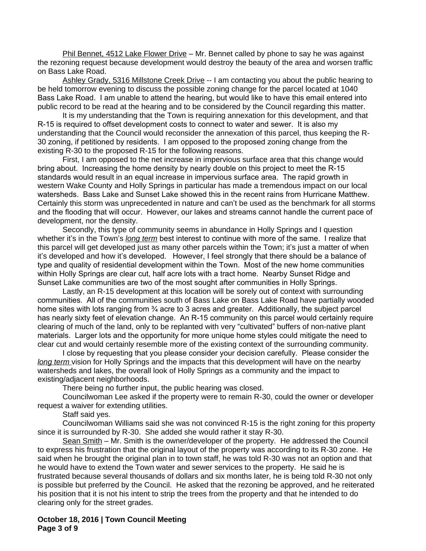Phil Bennet, 4512 Lake Flower Drive - Mr. Bennet called by phone to say he was against the rezoning request because development would destroy the beauty of the area and worsen traffic on Bass Lake Road.

Ashley Grady, 5316 Millstone Creek Drive -- I am contacting you about the public hearing to be held tomorrow evening to discuss the possible zoning change for the parcel located at 1040 Bass Lake Road. I am unable to attend the hearing, but would like to have this email entered into public record to be read at the hearing and to be considered by the Council regarding this matter.

It is my understanding that the Town is requiring annexation for this development, and that R-15 is required to offset development costs to connect to water and sewer. It is also my understanding that the Council would reconsider the annexation of this parcel, thus keeping the R-30 zoning, if petitioned by residents. I am opposed to the proposed zoning change from the existing R-30 to the proposed R-15 for the following reasons.

First, I am opposed to the net increase in impervious surface area that this change would bring about. Increasing the home density by nearly double on this project to meet the R-15 standards would result in an equal increase in impervious surface area. The rapid growth in western Wake County and Holly Springs in particular has made a tremendous impact on our local watersheds. Bass Lake and Sunset Lake showed this in the recent rains from Hurricane Matthew. Certainly this storm was unprecedented in nature and can't be used as the benchmark for all storms and the flooding that will occur. However, our lakes and streams cannot handle the current pace of development, nor the density.

Secondly, this type of community seems in abundance in Holly Springs and I question whether it's in the Town's *long term* best interest to continue with more of the same. I realize that this parcel will get developed just as many other parcels within the Town; it's just a matter of when it's developed and how it's developed. However, I feel strongly that there should be a balance of type and quality of residential development within the Town. Most of the new home communities within Holly Springs are clear cut, half acre lots with a tract home. Nearby Sunset Ridge and Sunset Lake communities are two of the most sought after communities in Holly Springs.

Lastly, an R-15 development at this location will be sorely out of context with surrounding communities. All of the communities south of Bass Lake on Bass Lake Road have partially wooded home sites with lots ranging from <sup>3</sup>/4 acre to 3 acres and greater. Additionally, the subject parcel has nearly sixty feet of elevation change. An R-15 community on this parcel would certainly require clearing of much of the land, only to be replanted with very "cultivated" buffers of non-native plant materials. Larger lots and the opportunity for more unique home styles could mitigate the need to clear cut and would certainly resemble more of the existing context of the surrounding community.

I close by requesting that you please consider your decision carefully. Please consider the *long term* vision for Holly Springs and the impacts that this development will have on the nearby watersheds and lakes, the overall look of Holly Springs as a community and the impact to existing/adjacent neighborhoods.

There being no further input, the public hearing was closed.

Councilwoman Lee asked if the property were to remain R-30, could the owner or developer request a waiver for extending utilities.

Staff said yes.

Councilwoman Williams said she was not convinced R-15 is the right zoning for this property since it is surrounded by R-30. She added she would rather it stay R-30.

Sean Smith – Mr. Smith is the owner/developer of the property. He addressed the Council to express his frustration that the original layout of the property was according to its R-30 zone. He said when he brought the original plan in to town staff, he was told R-30 was not an option and that he would have to extend the Town water and sewer services to the property. He said he is frustrated because several thousands of dollars and six months later, he is being told R-30 not only is possible but preferred by the Council. He asked that the rezoning be approved, and he reiterated his position that it is not his intent to strip the trees from the property and that he intended to do clearing only for the street grades.

**October 18, 2016 | Town Council Meeting Page 3 of 9**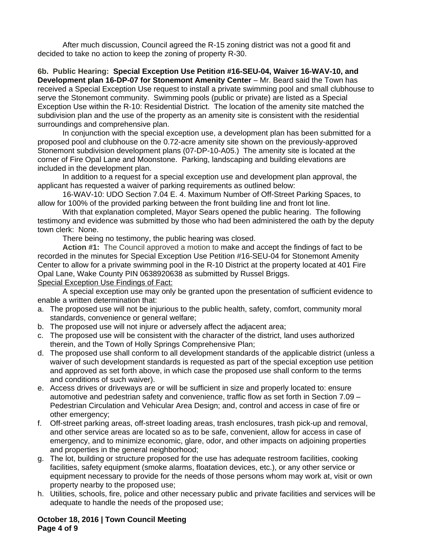After much discussion, Council agreed the R-15 zoning district was not a good fit and decided to take no action to keep the zoning of property R-30.

**6b. Public Hearing: Special Exception Use Petition #16-SEU-04, Waiver 16-WAV-10, and Development plan 16-DP-07 for Stonemont Amenity Center** – Mr. Beard said the Town has received a Special Exception Use request to install a private swimming pool and small clubhouse to serve the Stonemont community. Swimming pools (public or private) are listed as a Special Exception Use within the R-10: Residential District. The location of the amenity site matched the subdivision plan and the use of the property as an amenity site is consistent with the residential surroundings and comprehensive plan.

In conjunction with the special exception use, a development plan has been submitted for a proposed pool and clubhouse on the 0.72-acre amenity site shown on the previously-approved Stonemont subdivision development plans (07-DP-10-A05.) The amenity site is located at the corner of Fire Opal Lane and Moonstone. Parking, landscaping and building elevations are included in the development plan.

In addition to a request for a special exception use and development plan approval, the applicant has requested a waiver of parking requirements as outlined below:

16-WAV-10: UDO Section 7.04 E. 4. Maximum Number of Off-Street Parking Spaces, to allow for 100% of the provided parking between the front building line and front lot line.

With that explanation completed, Mayor Sears opened the public hearing. The following testimony and evidence was submitted by those who had been administered the oath by the deputy town clerk: None.

There being no testimony, the public hearing was closed.

**Action #1:** The Council approved a motion to make and accept the findings of fact to be recorded in the minutes for Special Exception Use Petition #16-SEU-04 for Stonemont Amenity Center to allow for a private swimming pool in the R-10 District at the property located at 401 Fire Opal Lane, Wake County PIN 0638920638 as submitted by Russel Briggs.

# Special Exception Use Findings of Fact:

A special exception use may only be granted upon the presentation of sufficient evidence to enable a written determination that:

- a. The proposed use will not be injurious to the public health, safety, comfort, community moral standards, convenience or general welfare;
- b. The proposed use will not injure or adversely affect the adjacent area;
- c. The proposed use will be consistent with the character of the district, land uses authorized therein, and the Town of Holly Springs Comprehensive Plan;
- d. The proposed use shall conform to all development standards of the applicable district (unless a waiver of such development standards is requested as part of the special exception use petition and approved as set forth above, in which case the proposed use shall conform to the terms and conditions of such waiver).
- e. Access drives or driveways are or will be sufficient in size and properly located to: ensure automotive and pedestrian safety and convenience, traffic flow as set forth in Section 7.09 – Pedestrian Circulation and Vehicular Area Design; and, control and access in case of fire or other emergency;
- f. Off-street parking areas, off-street loading areas, trash enclosures, trash pick-up and removal, and other service areas are located so as to be safe, convenient, allow for access in case of emergency, and to minimize economic, glare, odor, and other impacts on adjoining properties and properties in the general neighborhood;
- g. The lot, building or structure proposed for the use has adequate restroom facilities, cooking facilities, safety equipment (smoke alarms, floatation devices, etc.), or any other service or equipment necessary to provide for the needs of those persons whom may work at, visit or own property nearby to the proposed use;
- h. Utilities, schools, fire, police and other necessary public and private facilities and services will be adequate to handle the needs of the proposed use;

**October 18, 2016 | Town Council Meeting Page 4 of 9**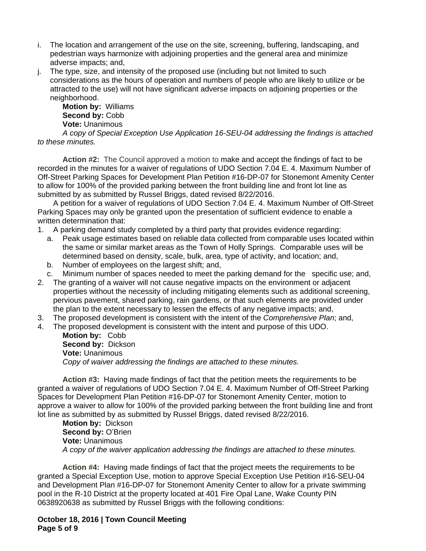- i. The location and arrangement of the use on the site, screening, buffering, landscaping, and pedestrian ways harmonize with adjoining properties and the general area and minimize adverse impacts; and,
- j. The type, size, and intensity of the proposed use (including but not limited to such considerations as the hours of operation and numbers of people who are likely to utilize or be attracted to the use) will not have significant adverse impacts on adjoining properties or the neighborhood.

**Motion by:** Williams **Second by:** Cobb **Vote:** Unanimous

*A copy of Special Exception Use Application 16-SEU-04 addressing the findings is attached to these minutes.*

**Action #2:** The Council approved a motion to make and accept the findings of fact to be recorded in the minutes for a waiver of regulations of UDO Section 7.04 E. 4. Maximum Number of Off-Street Parking Spaces for Development Plan Petition #16-DP-07 for Stonemont Amenity Center to allow for 100% of the provided parking between the front building line and front lot line as submitted by as submitted by Russel Briggs, dated revised 8/22/2016.

A petition for a waiver of regulations of UDO Section 7.04 E. 4. Maximum Number of Off-Street Parking Spaces may only be granted upon the presentation of sufficient evidence to enable a written determination that:

- 1. A parking demand study completed by a third party that provides evidence regarding:
	- a. Peak usage estimates based on reliable data collected from comparable uses located within the same or similar market areas as the Town of Holly Springs. Comparable uses will be determined based on density, scale, bulk, area, type of activity, and location; and,
	- b. Number of employees on the largest shift; and,
	- c. Minimum number of spaces needed to meet the parking demand for the specific use; and,
- 2. The granting of a waiver will not cause negative impacts on the environment or adjacent properties without the necessity of including mitigating elements such as additional screening, pervious pavement, shared parking, rain gardens, or that such elements are provided under the plan to the extent necessary to lessen the effects of any negative impacts; and,
- 3. The proposed development is consistent with the intent of the *Comprehensive Plan*; and,
- 4. The proposed development is consistent with the intent and purpose of this UDO.

**Motion by:** Cobb **Second by:** Dickson **Vote:** Unanimous *Copy of waiver addressing the findings are attached to these minutes.*

**Action #3:** Having made findings of fact that the petition meets the requirements to be granted a waiver of regulations of UDO Section 7.04 E. 4. Maximum Number of Off-Street Parking Spaces for Development Plan Petition #16-DP-07 for Stonemont Amenity Center, motion to approve a waiver to allow for 100% of the provided parking between the front building line and front lot line as submitted by as submitted by Russel Briggs, dated revised 8/22/2016.

**Motion by:** Dickson **Second by: O'Brien Vote:** Unanimous *A copy of the waiver application addressing the findings are attached to these minutes.*

**Action #4:** Having made findings of fact that the project meets the requirements to be granted a Special Exception Use, motion to approve Special Exception Use Petition #16-SEU-04 and Development Plan #16-DP-07 for Stonemont Amenity Center to allow for a private swimming pool in the R-10 District at the property located at 401 Fire Opal Lane, Wake County PIN 0638920638 as submitted by Russel Briggs with the following conditions:

**October 18, 2016 | Town Council Meeting Page 5 of 9**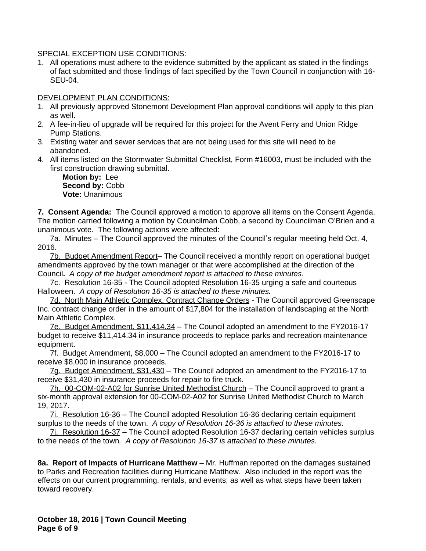SPECIAL EXCEPTION USE CONDITIONS:

1. All operations must adhere to the evidence submitted by the applicant as stated in the findings of fact submitted and those findings of fact specified by the Town Council in conjunction with 16- SEU-04.

# DEVELOPMENT PLAN CONDITIONS:

- 1. All previously approved Stonemont Development Plan approval conditions will apply to this plan as well.
- 2. A fee-in-lieu of upgrade will be required for this project for the Avent Ferry and Union Ridge Pump Stations.
- 3. Existing water and sewer services that are not being used for this site will need to be abandoned.
- 4. All items listed on the Stormwater Submittal Checklist, Form #16003, must be included with the first construction drawing submittal.

**Motion by:** Lee **Second by:** Cobb **Vote:** Unanimous

**7. Consent Agenda:** The Council approved a motion to approve all items on the Consent Agenda. The motion carried following a motion by Councilman Cobb, a second by Councilman O'Brien and a unanimous vote. The following actions were affected:

7a. Minutes – The Council approved the minutes of the Council's regular meeting held Oct. 4, 2016.

7b. Budget Amendment Report– The Council received a monthly report on operational budget amendments approved by the town manager or that were accomplished at the direction of the Council**.** *A copy of the budget amendment report is attached to these minutes.* 

7c. Resolution 16-35 - The Council adopted Resolution 16-35 urging a safe and courteous Halloween. *A copy of Resolution 16-35 is attached to these minutes.*

7d. North Main Athletic Complex, Contract Change Orders - The Council approved Greenscape Inc. contract change order in the amount of \$17,804 for the installation of landscaping at the North Main Athletic Complex.

7e. Budget Amendment, \$11,414.34 – The Council adopted an amendment to the FY2016-17 budget to receive \$11,414.34 in insurance proceeds to replace parks and recreation maintenance equipment.

7f. Budget Amendment, \$8,000 – The Council adopted an amendment to the FY2016-17 to receive \$8,000 in insurance proceeds.

7g. Budget Amendment, \$31,430 – The Council adopted an amendment to the FY2016-17 to receive \$31,430 in insurance proceeds for repair to fire truck.

7h. 00-COM-02-A02 for Sunrise United Methodist Church – The Council approved to grant a six-month approval extension for 00-COM-02-A02 for Sunrise United Methodist Church to March 19, 2017.

7i. Resolution 16-36 – The Council adopted Resolution 16-36 declaring certain equipment surplus to the needs of the town. *A copy of Resolution 16-36 is attached to these minutes.*

7j. Resolution 16-37 – The Council adopted Resolution 16-37 declaring certain vehicles surplus to the needs of the town*. A copy of Resolution 16-37 is attached to these minutes.*

**8a. Report of Impacts of Hurricane Matthew –** Mr. Huffman reported on the damages sustained to Parks and Recreation facilities during Hurricane Matthew. Also included in the report was the effects on our current programming, rentals, and events; as well as what steps have been taken toward recovery.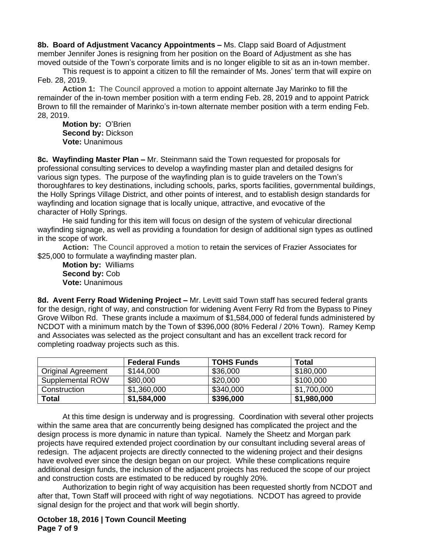**8b. Board of Adjustment Vacancy Appointments –** Ms. Clapp said Board of Adjustment member Jennifer Jones is resigning from her position on the Board of Adjustment as she has moved outside of the Town's corporate limits and is no longer eligible to sit as an in-town member.

This request is to appoint a citizen to fill the remainder of Ms. Jones' term that will expire on Feb. 28, 2019.

**Action 1:** The Council approved a motion to appoint alternate Jay Marinko to fill the remainder of the in-town member position with a term ending Feb. 28, 2019 and to appoint Patrick Brown to fill the remainder of Marinko's in-town alternate member position with a term ending Feb. 28, 2019.

**Motion by:** O'Brien **Second by:** Dickson **Vote:** Unanimous

**8c. Wayfinding Master Plan –** Mr. Steinmann said the Town requested for proposals for professional consulting services to develop a wayfinding master plan and detailed designs for various sign types. The purpose of the wayfinding plan is to guide travelers on the Town's thoroughfares to key destinations, including schools, parks, sports facilities, governmental buildings, the Holly Springs Village District, and other points of interest, and to establish design standards for wayfinding and location signage that is locally unique, attractive, and evocative of the character of Holly Springs.

He said funding for this item will focus on design of the system of vehicular directional wayfinding signage, as well as providing a foundation for design of additional sign types as outlined in the scope of work.

**Action:** The Council approved a motion to retain the services of Frazier Associates for \$25,000 to formulate a wayfinding master plan.

**Motion by:** Williams **Second by:** Cob **Vote:** Unanimous

**8d. Avent Ferry Road Widening Project –** Mr. Levitt said Town staff has secured federal grants for the design, right of way, and construction for widening Avent Ferry Rd from the Bypass to Piney Grove Wilbon Rd. These grants include a maximum of \$1,584,000 of federal funds administered by NCDOT with a minimum match by the Town of \$396,000 (80% Federal / 20% Town). Ramey Kemp and Associates was selected as the project consultant and has an excellent track record for completing roadway projects such as this.

|                           | <b>Federal Funds</b> | <b>TOHS Funds</b> | Total       |
|---------------------------|----------------------|-------------------|-------------|
| <b>Original Agreement</b> | \$144,000            | \$36,000          | \$180,000   |
| Supplemental ROW          | \$80,000             | \$20,000          | \$100,000   |
| Construction              | \$1,360,000          | \$340,000         | \$1,700,000 |
| Total                     | \$1,584,000          | \$396,000         | \$1,980,000 |

At this time design is underway and is progressing. Coordination with several other projects within the same area that are concurrently being designed has complicated the project and the design process is more dynamic in nature than typical. Namely the Sheetz and Morgan park projects have required extended project coordination by our consultant including several areas of redesign. The adjacent projects are directly connected to the widening project and their designs have evolved ever since the design began on our project. While these complications require additional design funds, the inclusion of the adjacent projects has reduced the scope of our project and construction costs are estimated to be reduced by roughly 20%.

Authorization to begin right of way acquisition has been requested shortly from NCDOT and after that, Town Staff will proceed with right of way negotiations. NCDOT has agreed to provide signal design for the project and that work will begin shortly.

**October 18, 2016 | Town Council Meeting Page 7 of 9**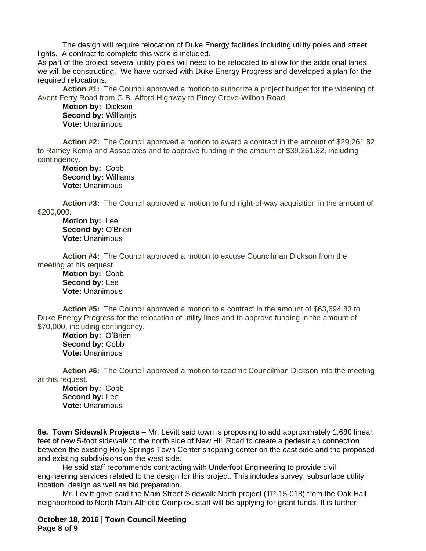The design will require relocation of Duke Energy facilities including utility poles and street lights. A contract to complete this work is included.

As part of the project several utility poles will need to be relocated to allow for the additional lanes we will be constructing. We have worked with Duke Energy Progress and developed a plan for the required relocations.

**Action #1:** The Council approved a motion to authorize a project budget for the widening of Avent Ferry Road from G.B. Alford Highway to Piney Grove-Wilbon Road.

**Motion by:** Dickson **Second by:** Williamjs **Vote:** Unanimous

**Action #2:** The Council approved a motion to award a contract in the amount of \$29,261.82 to Ramey Kemp and Associates and to approve funding in the amount of \$39,261.82, including contingency.

**Motion by:** Cobb **Second by:** Williams **Vote:** Unanimous

**Action #3:** The Council approved a motion to fund right-of-way acquisition in the amount of \$200,000.

**Motion by:** Lee **Second by: O'Brien Vote:** Unanimous

**Action #4:** The Council approved a motion to excuse Councilman Dickson from the meeting at his request.

**Motion by:** Cobb **Second by:** Lee **Vote:** Unanimous

**Action #5:** The Council approved a motion to a contract in the amount of \$63,694.83 to Duke Energy Progress for the relocation of utility lines and to approve funding in the amount of \$70,000, including contingency.

**Motion by:** O'Brien **Second by:** Cobb **Vote:** Unanimous

**Action #6:** The Council approved a motion to readmit Councilman Dickson into the meeting at this request.

**Motion by:** Cobb **Second by:** Lee **Vote:** Unanimous

**8e. Town Sidewalk Projects –** Mr. Levitt said town is proposing to add approximately 1,680 linear feet of new 5-foot sidewalk to the north side of New Hill Road to create a pedestrian connection between the existing Holly Springs Town Center shopping center on the east side and the proposed and existing subdivisions on the west side.

He said staff recommends contracting with Underfoot Engineering to provide civil engineering services related to the design for this project. This includes survey, subsurface utility location, design as well as bid preparation.

Mr. Levitt gave said the Main Street Sidewalk North project (TP-15-018) from the Oak Hall neighborhood to North Main Athletic Complex, staff will be applying for grant funds. It is further

**October 18, 2016 | Town Council Meeting Page 8 of 9**